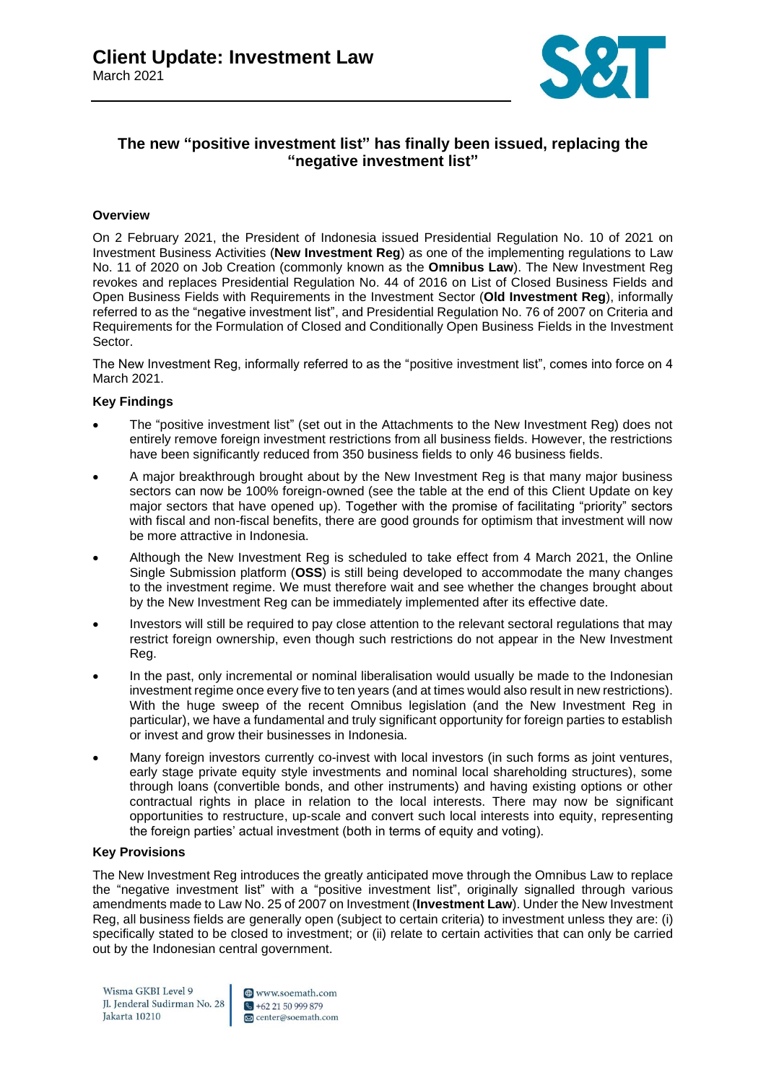

### **The new "positive investment list" has finally been issued, replacing the "negative investment list"**

### **Overview**

On 2 February 2021, the President of Indonesia issued Presidential Regulation No. 10 of 2021 on Investment Business Activities (**New Investment Reg**) as one of the implementing regulations to Law No. 11 of 2020 on Job Creation (commonly known as the **Omnibus Law**). The New Investment Reg revokes and replaces Presidential Regulation No. 44 of 2016 on List of Closed Business Fields and Open Business Fields with Requirements in the Investment Sector (**Old Investment Reg**), informally referred to as the "negative investment list", and Presidential Regulation No. 76 of 2007 on Criteria and Requirements for the Formulation of Closed and Conditionally Open Business Fields in the Investment Sector.

The New Investment Reg, informally referred to as the "positive investment list", comes into force on 4 March 2021.

### **Key Findings**

- The "positive investment list" (set out in the Attachments to the New Investment Reg) does not entirely remove foreign investment restrictions from all business fields. However, the restrictions have been significantly reduced from 350 business fields to only 46 business fields.
- A major breakthrough brought about by the New Investment Reg is that many major business sectors can now be 100% foreign-owned (see the table at the end of this Client Update on key major sectors that have opened up). Together with the promise of facilitating "priority" sectors with fiscal and non-fiscal benefits, there are good grounds for optimism that investment will now be more attractive in Indonesia.
- Although the New Investment Reg is scheduled to take effect from 4 March 2021, the Online Single Submission platform (**OSS**) is still being developed to accommodate the many changes to the investment regime. We must therefore wait and see whether the changes brought about by the New Investment Reg can be immediately implemented after its effective date.
- Investors will still be required to pay close attention to the relevant sectoral regulations that may restrict foreign ownership, even though such restrictions do not appear in the New Investment Reg.
- In the past, only incremental or nominal liberalisation would usually be made to the Indonesian investment regime once every five to ten years (and at times would also result in new restrictions). With the huge sweep of the recent Omnibus legislation (and the New Investment Reg in particular), we have a fundamental and truly significant opportunity for foreign parties to establish or invest and grow their businesses in Indonesia.
- Many foreign investors currently co-invest with local investors (in such forms as joint ventures, early stage private equity style investments and nominal local shareholding structures), some through loans (convertible bonds, and other instruments) and having existing options or other contractual rights in place in relation to the local interests. There may now be significant opportunities to restructure, up-scale and convert such local interests into equity, representing the foreign parties' actual investment (both in terms of equity and voting).

#### **Key Provisions**

The New Investment Reg introduces the greatly anticipated move through the Omnibus Law to replace the "negative investment list" with a "positive investment list", originally signalled through various amendments made to Law No. 25 of 2007 on Investment (**Investment Law**). Under the New Investment Reg, all business fields are generally open (subject to certain criteria) to investment unless they are: (i) specifically stated to be closed to investment; or (ii) relate to certain activities that can only be carried out by the Indonesian central government.

Wisma GKBI Level 9 Jl. Jenderal Sudirman No. 28 Jakarta 10210

www.soemath.com  $\sqrt{+622150999879}$ center@soemath.com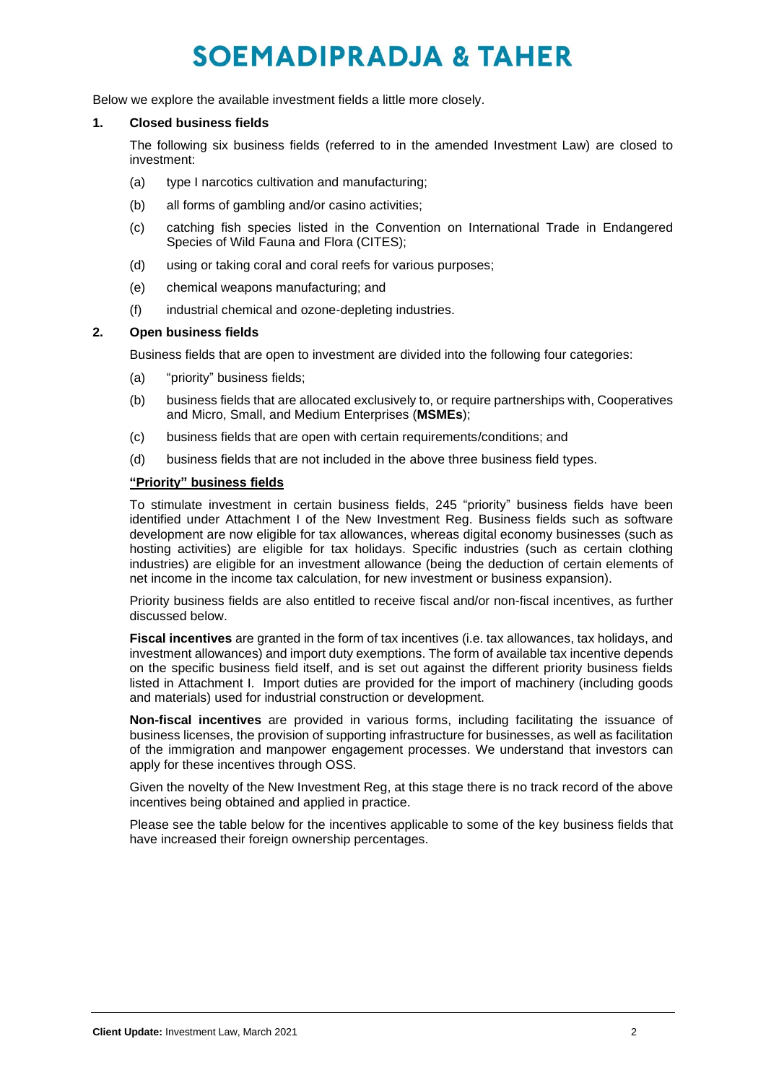Below we explore the available investment fields a little more closely.

### **1. Closed business fields**

The following six business fields (referred to in the amended Investment Law) are closed to investment:

- (a) type I narcotics cultivation and manufacturing;
- (b) all forms of gambling and/or casino activities;
- (c) catching fish species listed in the Convention on International Trade in Endangered Species of Wild Fauna and Flora (CITES);
- (d) using or taking coral and coral reefs for various purposes;
- (e) chemical weapons manufacturing; and
- (f) industrial chemical and ozone-depleting industries.

### **2. Open business fields**

Business fields that are open to investment are divided into the following four categories:

- (a) "priority" business fields;
- (b) business fields that are allocated exclusively to, or require partnerships with, Cooperatives and Micro, Small, and Medium Enterprises (**MSMEs**);
- (c) business fields that are open with certain requirements/conditions; and
- (d) business fields that are not included in the above three business field types.

### **"Priority" business fields**

To stimulate investment in certain business fields, 245 "priority" business fields have been identified under Attachment I of the New Investment Reg. Business fields such as software development are now eligible for tax allowances, whereas digital economy businesses (such as hosting activities) are eligible for tax holidays. Specific industries (such as certain clothing industries) are eligible for an investment allowance (being the deduction of certain elements of net income in the income tax calculation, for new investment or business expansion).

Priority business fields are also entitled to receive fiscal and/or non-fiscal incentives, as further discussed below.

**Fiscal incentives** are granted in the form of tax incentives (i.e. tax allowances, tax holidays, and investment allowances) and import duty exemptions. The form of available tax incentive depends on the specific business field itself, and is set out against the different priority business fields listed in Attachment I. Import duties are provided for the import of machinery (including goods and materials) used for industrial construction or development.

**Non-fiscal incentives** are provided in various forms, including facilitating the issuance of business licenses, the provision of supporting infrastructure for businesses, as well as facilitation of the immigration and manpower engagement processes. We understand that investors can apply for these incentives through OSS.

Given the novelty of the New Investment Reg, at this stage there is no track record of the above incentives being obtained and applied in practice.

Please see the table below for the incentives applicable to some of the key business fields that have increased their foreign ownership percentages.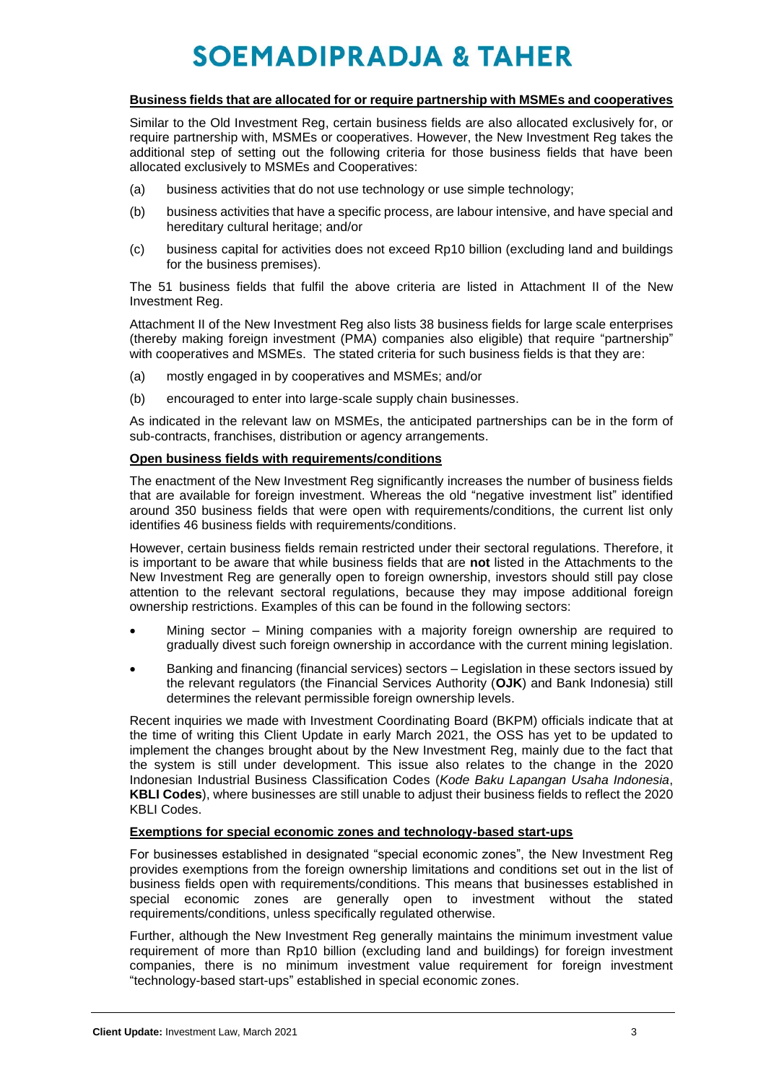#### **Business fields that are allocated for or require partnership with MSMEs and cooperatives**

Similar to the Old Investment Reg, certain business fields are also allocated exclusively for, or require partnership with, MSMEs or cooperatives. However, the New Investment Reg takes the additional step of setting out the following criteria for those business fields that have been allocated exclusively to MSMEs and Cooperatives:

- (a) business activities that do not use technology or use simple technology;
- (b) business activities that have a specific process, are labour intensive, and have special and hereditary cultural heritage; and/or
- (c) business capital for activities does not exceed Rp10 billion (excluding land and buildings for the business premises).

The 51 business fields that fulfil the above criteria are listed in Attachment II of the New Investment Reg.

Attachment II of the New Investment Reg also lists 38 business fields for large scale enterprises (thereby making foreign investment (PMA) companies also eligible) that require "partnership" with cooperatives and MSMEs. The stated criteria for such business fields is that they are:

- (a) mostly engaged in by cooperatives and MSMEs; and/or
- (b) encouraged to enter into large-scale supply chain businesses.

As indicated in the relevant law on MSMEs, the anticipated partnerships can be in the form of sub-contracts, franchises, distribution or agency arrangements.

### **Open business fields with requirements/conditions**

The enactment of the New Investment Reg significantly increases the number of business fields that are available for foreign investment. Whereas the old "negative investment list" identified around 350 business fields that were open with requirements/conditions, the current list only identifies 46 business fields with requirements/conditions.

However, certain business fields remain restricted under their sectoral regulations. Therefore, it is important to be aware that while business fields that are **not** listed in the Attachments to the New Investment Reg are generally open to foreign ownership, investors should still pay close attention to the relevant sectoral regulations, because they may impose additional foreign ownership restrictions. Examples of this can be found in the following sectors:

- Mining sector Mining companies with a majority foreign ownership are required to gradually divest such foreign ownership in accordance with the current mining legislation.
- Banking and financing (financial services) sectors Legislation in these sectors issued by the relevant regulators (the Financial Services Authority (**OJK**) and Bank Indonesia) still determines the relevant permissible foreign ownership levels.

Recent inquiries we made with Investment Coordinating Board (BKPM) officials indicate that at the time of writing this Client Update in early March 2021, the OSS has yet to be updated to implement the changes brought about by the New Investment Reg, mainly due to the fact that the system is still under development. This issue also relates to the change in the 2020 Indonesian Industrial Business Classification Codes (*Kode Baku Lapangan Usaha Indonesia*, **KBLI Codes**), where businesses are still unable to adjust their business fields to reflect the 2020 KBLI Codes.

### **Exemptions for special economic zones and technology-based start-ups**

For businesses established in designated "special economic zones", the New Investment Reg provides exemptions from the foreign ownership limitations and conditions set out in the list of business fields open with requirements/conditions. This means that businesses established in special economic zones are generally open to investment without the stated requirements/conditions, unless specifically regulated otherwise.

Further, although the New Investment Reg generally maintains the minimum investment value requirement of more than Rp10 billion (excluding land and buildings) for foreign investment companies, there is no minimum investment value requirement for foreign investment "technology-based start-ups" established in special economic zones.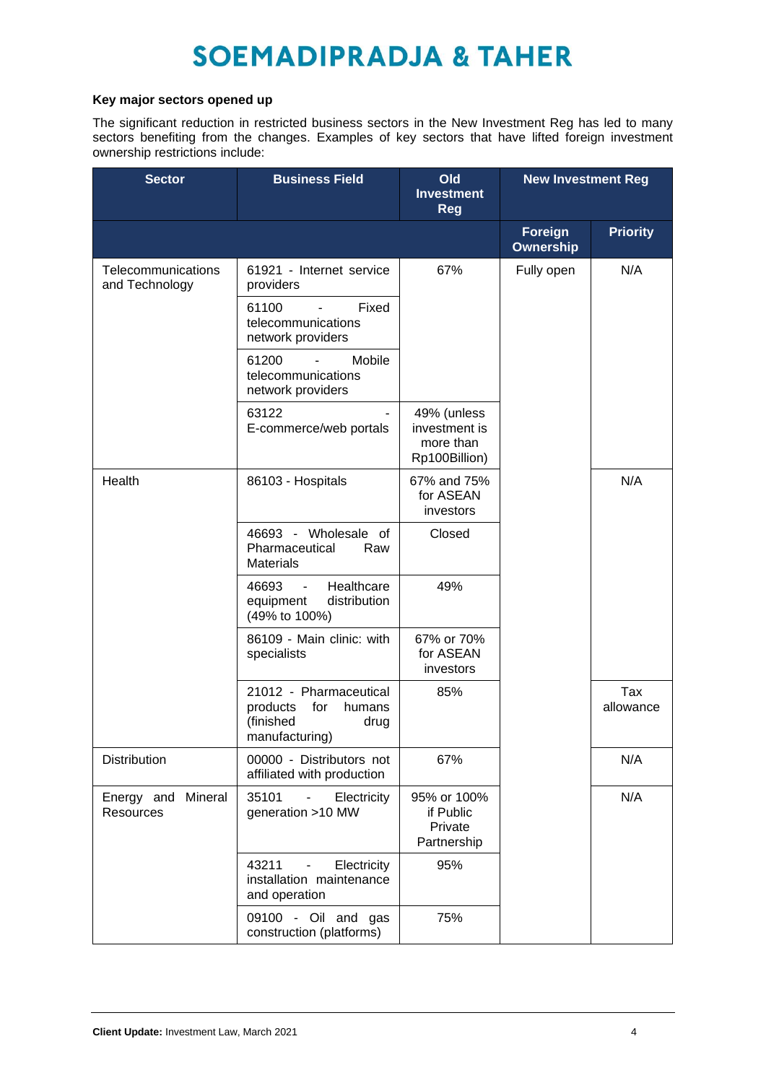### **Key major sectors opened up**

The significant reduction in restricted business sectors in the New Investment Reg has led to many sectors benefiting from the changes. Examples of key sectors that have lifted foreign investment ownership restrictions include:

| <b>Sector</b>                        | <b>Business Field</b>                                                                         | Old<br><b>Investment</b><br><b>Reg</b>                     | <b>New Investment Reg</b>   |                  |
|--------------------------------------|-----------------------------------------------------------------------------------------------|------------------------------------------------------------|-----------------------------|------------------|
|                                      |                                                                                               |                                                            | <b>Foreign</b><br>Ownership | <b>Priority</b>  |
| Telecommunications<br>and Technology | 61921 - Internet service<br>providers                                                         | 67%                                                        | Fully open                  | N/A              |
|                                      | 61100<br>Fixed<br>telecommunications<br>network providers                                     |                                                            |                             |                  |
|                                      | 61200<br>Mobile<br>telecommunications<br>network providers                                    |                                                            |                             |                  |
|                                      | 63122<br>E-commerce/web portals                                                               | 49% (unless<br>investment is<br>more than<br>Rp100Billion) |                             |                  |
| Health                               | 86103 - Hospitals                                                                             | 67% and 75%<br>for ASEAN<br>investors                      |                             | N/A              |
|                                      | 46693 - Wholesale of<br>Pharmaceutical<br>Raw<br><b>Materials</b>                             | Closed                                                     |                             |                  |
|                                      | Healthcare<br>46693<br>$\overline{\phantom{a}}$<br>distribution<br>equipment<br>(49% to 100%) | 49%                                                        |                             |                  |
|                                      | 86109 - Main clinic: with<br>specialists                                                      | 67% or 70%<br>for ASEAN<br>investors                       |                             |                  |
|                                      | 21012 - Pharmaceutical<br>for<br>products<br>humans<br>(finished<br>drug<br>manufacturing)    | 85%                                                        |                             | Tax<br>allowance |
| Distribution                         | 00000 - Distributors not<br>affiliated with production                                        | 67%                                                        |                             | N/A              |
| Energy and Mineral<br>Resources      | 35101<br>Electricity<br>generation >10 MW                                                     | 95% or 100%<br>if Public<br>Private<br>Partnership         |                             | N/A              |
|                                      | 43211<br>Electricity<br>$\overline{\phantom{a}}$<br>installation maintenance<br>and operation | 95%                                                        |                             |                  |
|                                      | 09100 - Oil and gas<br>construction (platforms)                                               | 75%                                                        |                             |                  |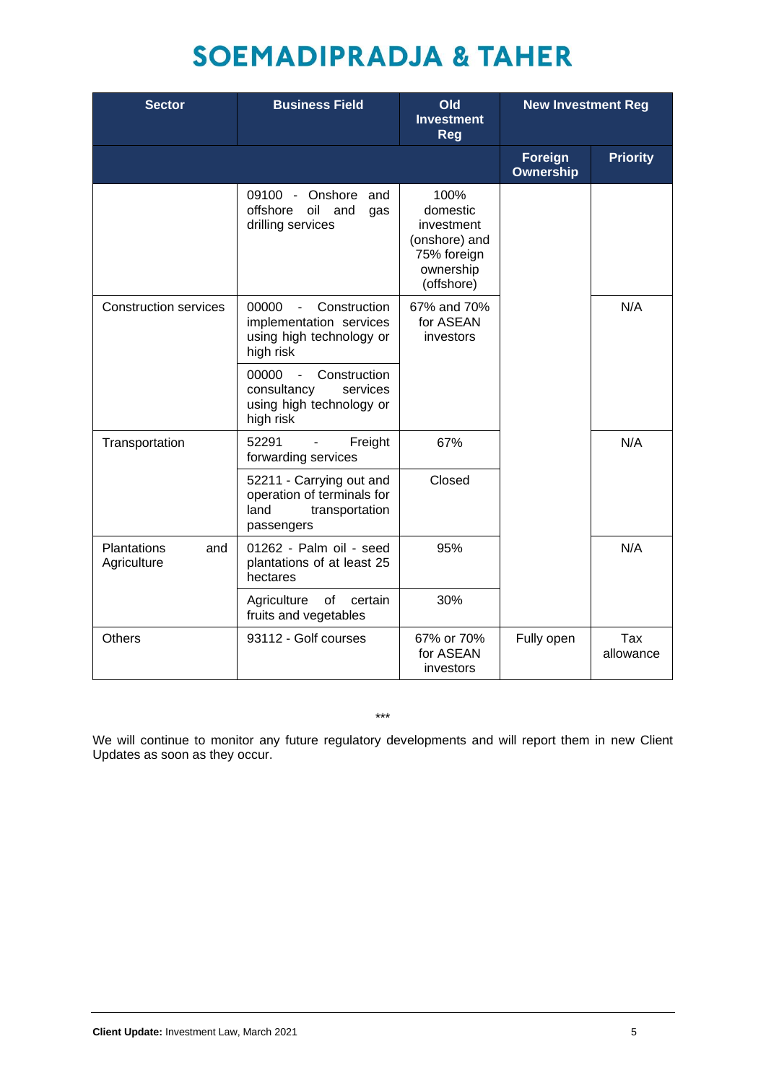| <b>Sector</b>                            | <b>Business Field</b>                                                                                       | <b>Old</b><br><b>Investment</b><br><b>Reg</b>                                             | <b>New Investment Reg</b>   |                  |
|------------------------------------------|-------------------------------------------------------------------------------------------------------------|-------------------------------------------------------------------------------------------|-----------------------------|------------------|
|                                          |                                                                                                             |                                                                                           | <b>Foreign</b><br>Ownership | <b>Priority</b>  |
|                                          | 09100 - Onshore and<br>offshore<br>oil and<br>gas<br>drilling services                                      | 100%<br>domestic<br>investment<br>(onshore) and<br>75% foreign<br>ownership<br>(offshore) |                             |                  |
| <b>Construction services</b>             | 00000<br>Construction<br>$\blacksquare$<br>implementation services<br>using high technology or<br>high risk | 67% and 70%<br>for ASEAN<br>investors                                                     |                             | N/A              |
|                                          | 00000<br>Construction<br>$\mathbf{r}$<br>consultancy<br>services<br>using high technology or<br>high risk   |                                                                                           |                             |                  |
| Transportation                           | 52291<br>Freight<br>$\blacksquare$<br>forwarding services                                                   | 67%                                                                                       |                             | N/A              |
|                                          | 52211 - Carrying out and<br>operation of terminals for<br>land<br>transportation<br>passengers              | Closed                                                                                    |                             |                  |
| <b>Plantations</b><br>and<br>Agriculture | 01262 - Palm oil - seed<br>plantations of at least 25<br>hectares                                           | 95%                                                                                       |                             | N/A              |
|                                          | $\circ$ f<br>Agriculture<br>certain<br>fruits and vegetables                                                | 30%                                                                                       |                             |                  |
| <b>Others</b>                            | 93112 - Golf courses                                                                                        | 67% or 70%<br>for ASEAN<br>investors                                                      | Fully open                  | Tax<br>allowance |

\*\*\*

We will continue to monitor any future regulatory developments and will report them in new Client Updates as soon as they occur.